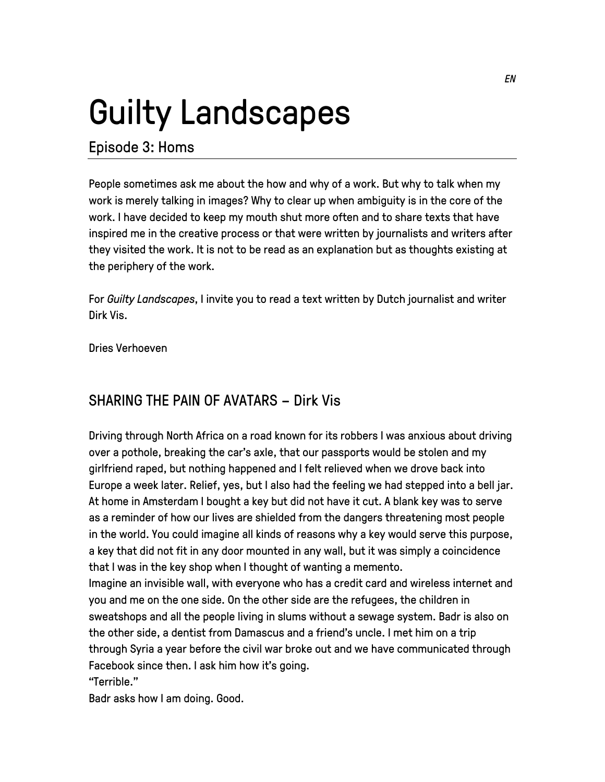## Guilty Landscapes

## Episode 3: Homs

People sometimes ask me about the how and why of a work. But why to talk when my work is merely talking in images? Why to clear up when ambiguity is in the core of the work. I have decided to keep my mouth shut more often and to share texts that have inspired me in the creative process or that were written by journalists and writers after they visited the work. It is not to be read as an explanation but as thoughts existing at the periphery of the work.

For *Guilty Landscapes*, I invite you to read a text written by Dutch journalist and writer Dirk Vis.

Dries Verhoeven

## SHARING THE PAIN OF AVATARS – Dirk Vis

Driving through North Africa on a road known for its robbers I was anxious about driving over a pothole, breaking the car's axle, that our passports would be stolen and my girlfriend raped, but nothing happened and I felt relieved when we drove back into Europe a week later. Relief, yes, but I also had the feeling we had stepped into a bell jar. At home in Amsterdam I bought a key but did not have it cut. A blank key was to serve as a reminder of how our lives are shielded from the dangers threatening most people in the world. You could imagine all kinds of reasons why a key would serve this purpose, a key that did not fit in any door mounted in any wall, but it was simply a coincidence that I was in the key shop when I thought of wanting a memento. Imagine an invisible wall, with everyone who has a credit card and wireless internet and

you and me on the one side. On the other side are the refugees, the children in sweatshops and all the people living in slums without a sewage system. Badr is also on the other side, a dentist from Damascus and a friend's uncle. I met him on a trip through Syria a year before the civil war broke out and we have communicated through Facebook since then. I ask him how it's going.

"Terrible."

Badr asks how I am doing. Good.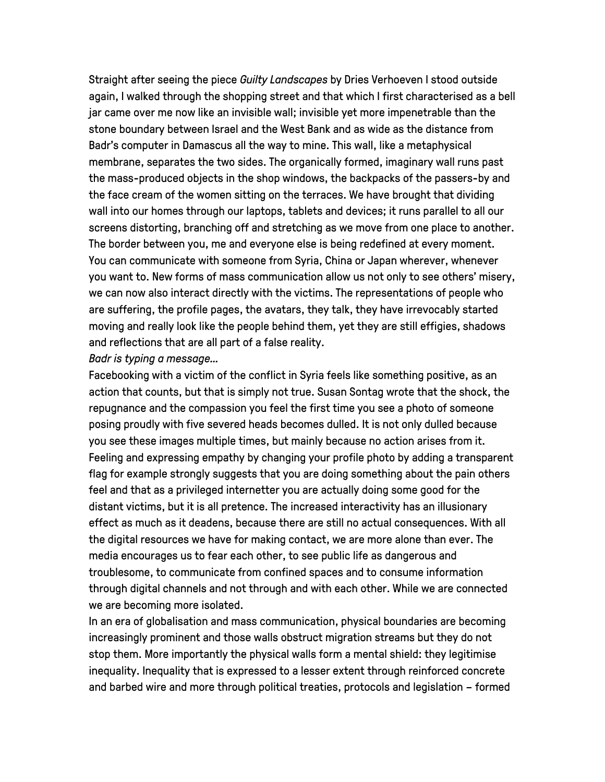Straight after seeing the piece *Guilty Landscapes* by Dries Verhoeven I stood outside again, I walked through the shopping street and that which I first characterised as a bell jar came over me now like an invisible wall; invisible yet more impenetrable than the stone boundary between Israel and the West Bank and as wide as the distance from Badr's computer in Damascus all the way to mine. This wall, like a metaphysical membrane, separates the two sides. The organically formed, imaginary wall runs past the mass-produced objects in the shop windows, the backpacks of the passers-by and the face cream of the women sitting on the terraces. We have brought that dividing wall into our homes through our laptops, tablets and devices; it runs parallel to all our screens distorting, branching off and stretching as we move from one place to another. The border between you, me and everyone else is being redefined at every moment. You can communicate with someone from Syria, China or Japan wherever, whenever you want to. New forms of mass communication allow us not only to see others' misery, we can now also interact directly with the victims. The representations of people who are suffering, the profile pages, the avatars, they talk, they have irrevocably started moving and really look like the people behind them, yet they are still effigies, shadows and reflections that are all part of a false reality.

## *Badr is typing a message…*

Facebooking with a victim of the conflict in Syria feels like something positive, as an action that counts, but that is simply not true. Susan Sontag wrote that the shock, the repugnance and the compassion you feel the first time you see a photo of someone posing proudly with five severed heads becomes dulled. It is not only dulled because you see these images multiple times, but mainly because no action arises from it. Feeling and expressing empathy by changing your profile photo by adding a transparent flag for example strongly suggests that you are doing something about the pain others feel and that as a privileged internetter you are actually doing some good for the distant victims, but it is all pretence. The increased interactivity has an illusionary effect as much as it deadens, because there are still no actual consequences. With all the digital resources we have for making contact, we are more alone than ever. The media encourages us to fear each other, to see public life as dangerous and troublesome, to communicate from confined spaces and to consume information through digital channels and not through and with each other. While we are connected we are becoming more isolated.

In an era of globalisation and mass communication, physical boundaries are becoming increasingly prominent and those walls obstruct migration streams but they do not stop them. More importantly the physical walls form a mental shield: they legitimise inequality. Inequality that is expressed to a lesser extent through reinforced concrete and barbed wire and more through political treaties, protocols and legislation – formed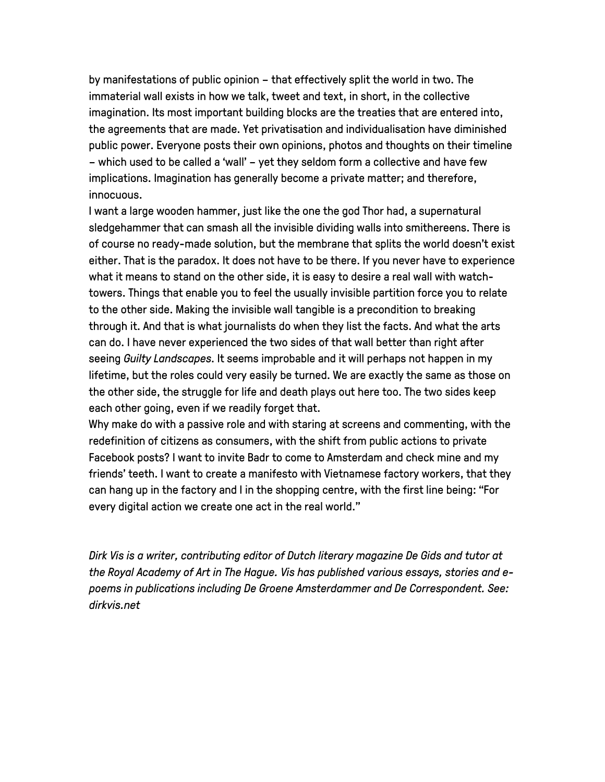by manifestations of public opinion – that effectively split the world in two. The immaterial wall exists in how we talk, tweet and text, in short, in the collective imagination. Its most important building blocks are the treaties that are entered into, the agreements that are made. Yet privatisation and individualisation have diminished public power. Everyone posts their own opinions, photos and thoughts on their timeline – which used to be called a 'wall' – yet they seldom form a collective and have few implications. Imagination has generally become a private matter; and therefore, innocuous.

I want a large wooden hammer, just like the one the god Thor had, a supernatural sledgehammer that can smash all the invisible dividing walls into smithereens. There is of course no ready-made solution, but the membrane that splits the world doesn't exist either. That is the paradox. It does not have to be there. If you never have to experience what it means to stand on the other side, it is easy to desire a real wall with watchtowers. Things that enable you to feel the usually invisible partition force you to relate to the other side. Making the invisible wall tangible is a precondition to breaking through it. And that is what journalists do when they list the facts. And what the arts can do. I have never experienced the two sides of that wall better than right after seeing *Guilty Landscapes*. It seems improbable and it will perhaps not happen in my lifetime, but the roles could very easily be turned. We are exactly the same as those on the other side, the struggle for life and death plays out here too. The two sides keep each other going, even if we readily forget that.

Why make do with a passive role and with staring at screens and commenting, with the redefinition of citizens as consumers, with the shift from public actions to private Facebook posts? I want to invite Badr to come to Amsterdam and check mine and my friends' teeth. I want to create a manifesto with Vietnamese factory workers, that they can hang up in the factory and I in the shopping centre, with the first line being: "For every digital action we create one act in the real world."

*Dirk Vis is a writer, contributing editor of Dutch literary magazine De Gids and tutor at the Royal Academy of Art in The Hague. Vis has published various essays, stories and epoems in publications including De Groene Amsterdammer and De Correspondent. See: dirkvis.net*